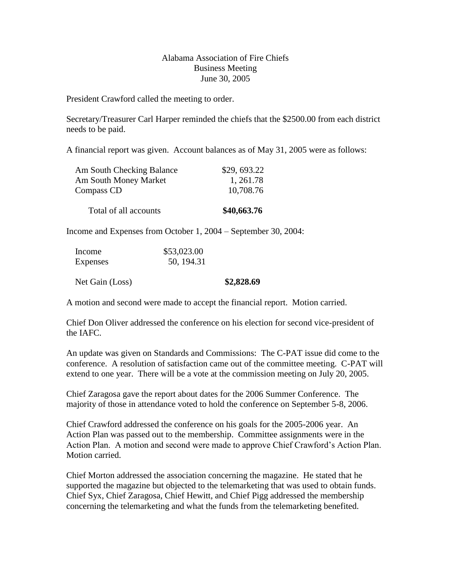## Alabama Association of Fire Chiefs Business Meeting June 30, 2005

President Crawford called the meeting to order.

Secretary/Treasurer Carl Harper reminded the chiefs that the \$2500.00 from each district needs to be paid.

A financial report was given. Account balances as of May 31, 2005 were as follows:

| Am South Checking Balance | \$29,693.22 |
|---------------------------|-------------|
| Am South Money Market     | 1, 261.78   |
| Compass CD                | 10,708.76   |
| Total of all accounts     | \$40,663.76 |

Income and Expenses from October 1, 2004 – September 30, 2004:

| Income          | \$53,023.00 |            |
|-----------------|-------------|------------|
| Expenses        | 50, 194.31  |            |
| Net Gain (Loss) |             | \$2,828.69 |

A motion and second were made to accept the financial report. Motion carried.

Chief Don Oliver addressed the conference on his election for second vice-president of the IAFC.

An update was given on Standards and Commissions: The C-PAT issue did come to the conference. A resolution of satisfaction came out of the committee meeting. C-PAT will extend to one year. There will be a vote at the commission meeting on July 20, 2005.

Chief Zaragosa gave the report about dates for the 2006 Summer Conference. The majority of those in attendance voted to hold the conference on September 5-8, 2006.

Chief Crawford addressed the conference on his goals for the 2005-2006 year. An Action Plan was passed out to the membership. Committee assignments were in the Action Plan. A motion and second were made to approve Chief Crawford's Action Plan. Motion carried.

Chief Morton addressed the association concerning the magazine. He stated that he supported the magazine but objected to the telemarketing that was used to obtain funds. Chief Syx, Chief Zaragosa, Chief Hewitt, and Chief Pigg addressed the membership concerning the telemarketing and what the funds from the telemarketing benefited.